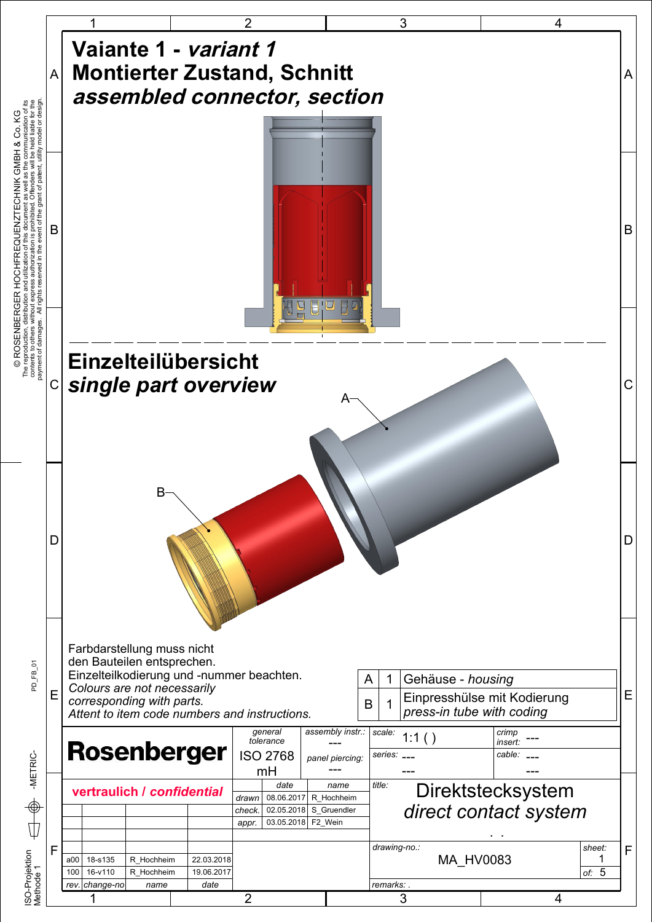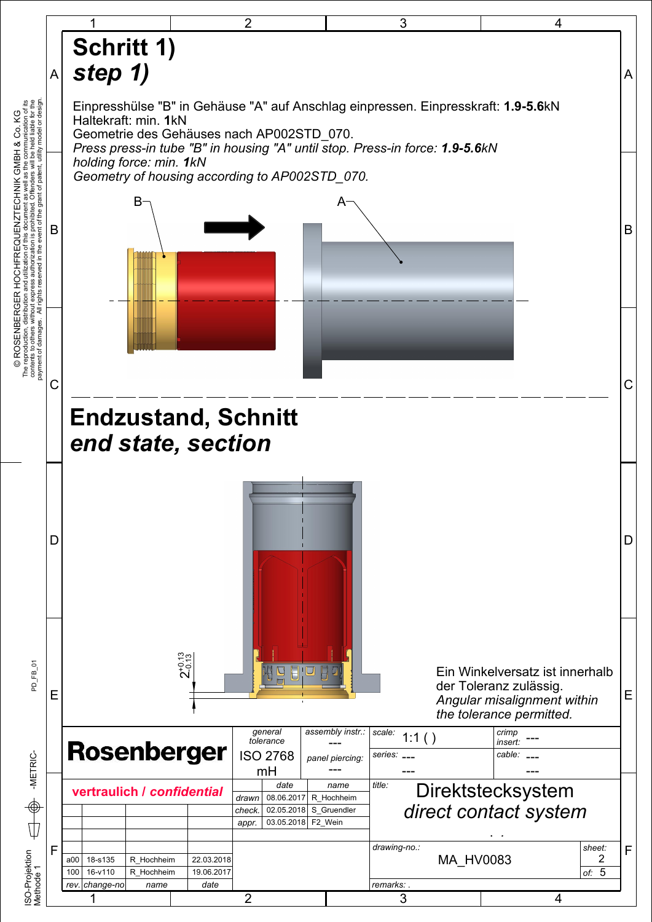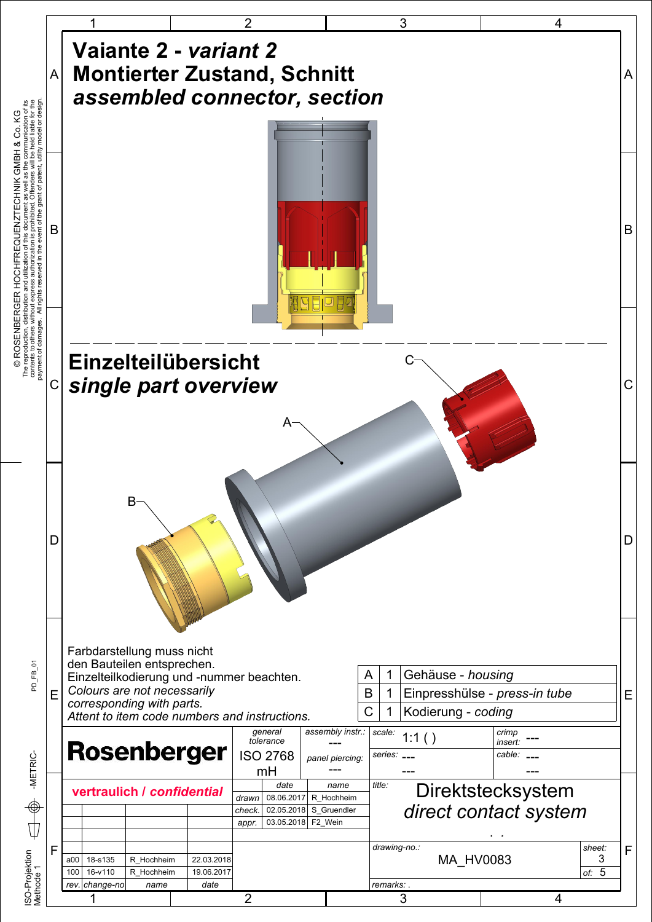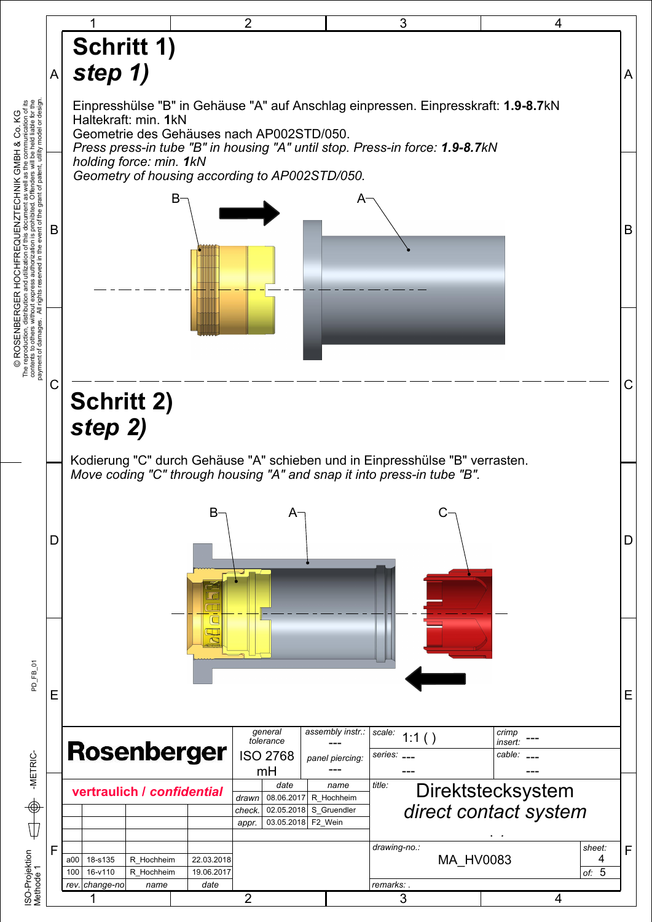